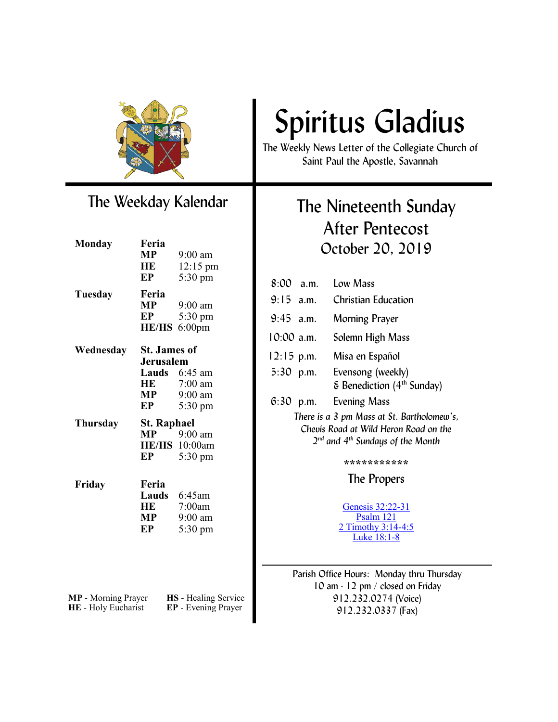

### The Weekday Kalendar

| <b>Monday</b>       | Feria<br>MP         | $9:00$ am                   |
|---------------------|---------------------|-----------------------------|
|                     | HE                  | $12:15 \text{ pm}$          |
|                     | EP                  | 5:30 pm                     |
|                     |                     |                             |
| Tuesday             | Feria               |                             |
|                     | MP                  | $9:00$ am                   |
|                     | EP                  | 5:30 pm                     |
|                     | <b>HE/HS</b>        | $6:00$ pm                   |
| Wednesday           | <b>St. James of</b> |                             |
|                     | Jerusalem           |                             |
|                     | Lauds               | $6:45$ am                   |
|                     | HE                  | $7:00$ am                   |
|                     | MP                  | $9:00$ am                   |
|                     | EP                  | $5:30 \text{ pm}$           |
| Thursday            | <b>St. Raphael</b>  |                             |
|                     | MP                  | $9:00 \text{ am}$           |
|                     |                     | <b>HE/HS</b> 10:00am        |
|                     | EP                  | $5:30 \text{ pm}$           |
| Friday              | Feria               |                             |
|                     |                     | Lauds 6:45am                |
|                     | HE                  | 7:00am                      |
|                     | MP                  | $9:00$ am                   |
|                     | EP                  | 5:30 pm                     |
|                     |                     |                             |
|                     |                     |                             |
|                     |                     |                             |
|                     |                     |                             |
|                     |                     |                             |
| MP - Morning Prayer |                     | <b>HS</b> - Healing Service |
| HE - Holy Eucharist |                     | <b>EP</b> - Evening Prayer  |

# Spiritus Gladius

The Weekly News Letter of the Collegiate Church of Saint Paul the Apostle, Savannah

### The Nineteenth Sunday After Pentecost October 20, 2019

| $8:00$ a.m.                                                                                                                       |  | Low Mass                                                             |  |
|-----------------------------------------------------------------------------------------------------------------------------------|--|----------------------------------------------------------------------|--|
| $9:15$ a.m.                                                                                                                       |  | Christian Education                                                  |  |
| $9:45$ a.m.                                                                                                                       |  | Morning Prayer                                                       |  |
| $10:00$ a.m.                                                                                                                      |  | Solemn High Mass                                                     |  |
| $12:15$ p.m.                                                                                                                      |  | Misa en Español                                                      |  |
| $5:30$ p.m.                                                                                                                       |  | Evensong (weekly)<br>$\epsilon$ Benediction (4 <sup>th</sup> Sunday) |  |
| $6:30$ p.m.                                                                                                                       |  | Evening Mass                                                         |  |
| There is a 3 pm Mass at St. Bartholomew's,<br>Chevis Road at Wild Heron Road on the<br>$2^{nd}$ and $4^{th}$ Sundays of the Month |  |                                                                      |  |
| ************                                                                                                                      |  |                                                                      |  |
| The Propers                                                                                                                       |  |                                                                      |  |
|                                                                                                                                   |  | Genesis 32:22-31<br>Psalm 121<br>2 Timothy 3:14-4:5<br>Luke 18:1-8   |  |

Parish Office Hours: Monday thru Thursday 10 am - 12 pm / closed on Friday 912.232.0274 (Voice) 912.232.0337 (Fax)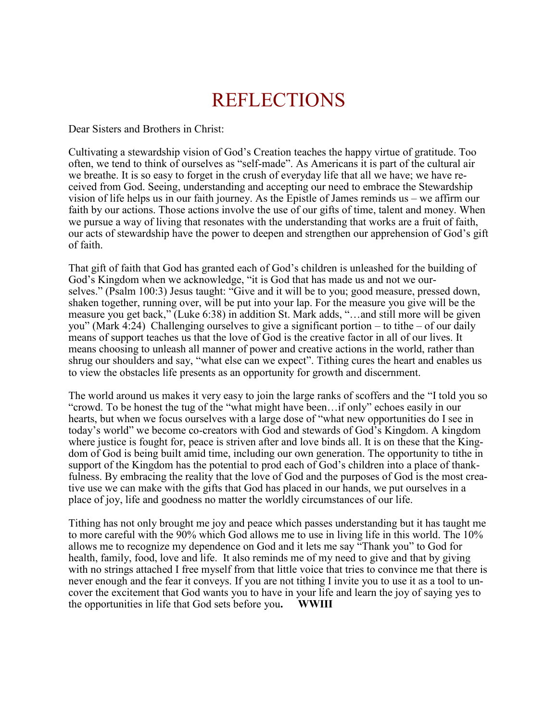## REFLECTIONS

Dear Sisters and Brothers in Christ:

Cultivating a stewardship vision of God's Creation teaches the happy virtue of gratitude. Too often, we tend to think of ourselves as "self-made". As Americans it is part of the cultural air we breathe. It is so easy to forget in the crush of everyday life that all we have; we have received from God. Seeing, understanding and accepting our need to embrace the Stewardship vision of life helps us in our faith journey. As the Epistle of James reminds us – we affirm our faith by our actions. Those actions involve the use of our gifts of time, talent and money. When we pursue a way of living that resonates with the understanding that works are a fruit of faith, our acts of stewardship have the power to deepen and strengthen our apprehension of God's gift of faith.

That gift of faith that God has granted each of God's children is unleashed for the building of God's Kingdom when we acknowledge, "it is God that has made us and not we ourselves." (Psalm 100:3) Jesus taught: "Give and it will be to you; good measure, pressed down, shaken together, running over, will be put into your lap. For the measure you give will be the measure you get back," (Luke 6:38) in addition St. Mark adds, "…and still more will be given you" (Mark 4:24) Challenging ourselves to give a significant portion – to tithe – of our daily means of support teaches us that the love of God is the creative factor in all of our lives. It means choosing to unleash all manner of power and creative actions in the world, rather than shrug our shoulders and say, "what else can we expect". Tithing cures the heart and enables us to view the obstacles life presents as an opportunity for growth and discernment.

The world around us makes it very easy to join the large ranks of scoffers and the "I told you so "crowd. To be honest the tug of the "what might have been…if only" echoes easily in our hearts, but when we focus ourselves with a large dose of "what new opportunities do I see in today's world" we become co-creators with God and stewards of God's Kingdom. A kingdom where justice is fought for, peace is striven after and love binds all. It is on these that the Kingdom of God is being built amid time, including our own generation. The opportunity to tithe in support of the Kingdom has the potential to prod each of God's children into a place of thankfulness. By embracing the reality that the love of God and the purposes of God is the most creative use we can make with the gifts that God has placed in our hands, we put ourselves in a place of joy, life and goodness no matter the worldly circumstances of our life.

Tithing has not only brought me joy and peace which passes understanding but it has taught me to more careful with the 90% which God allows me to use in living life in this world. The 10% allows me to recognize my dependence on God and it lets me say "Thank you" to God for health, family, food, love and life. It also reminds me of my need to give and that by giving with no strings attached I free myself from that little voice that tries to convince me that there is never enough and the fear it conveys. If you are not tithing I invite you to use it as a tool to uncover the excitement that God wants you to have in your life and learn the joy of saying yes to the opportunities in life that God sets before you**. WWIII**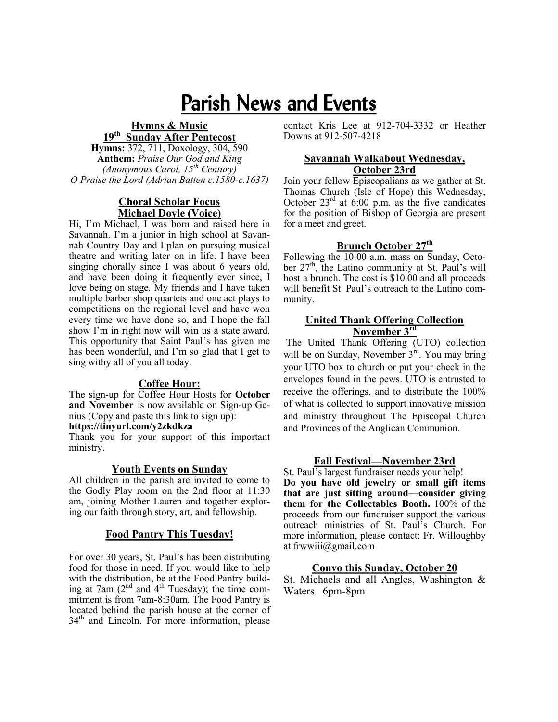# Parish News and Events

#### **Hymns & Music 19th Sunday After Pentecost**

**Hymns:** 372, 711, Doxology, 304, 590 **Anthem:** *Praise Our God and King (Anonymous Carol, 15th Century) O Praise the Lord (Adrian Batten c.1580-c.1637)*

#### **Choral Scholar Focus Michael Doyle (Voice)**

Hi, I'm Michael, I was born and raised here in Savannah. I'm a junior in high school at Savannah Country Day and I plan on pursuing musical theatre and writing later on in life. I have been singing chorally since I was about 6 years old, and have been doing it frequently ever since, I love being on stage. My friends and I have taken multiple barber shop quartets and one act plays to competitions on the regional level and have won every time we have done so, and I hope the fall show I'm in right now will win us a state award. This opportunity that Saint Paul's has given me has been wonderful, and I'm so glad that I get to sing withy all of you all today.

#### **Coffee Hour:**

**T**he sign-up for Coffee Hour Hosts for **October and November** is now available on Sign-up Genius (Copy and paste this link to sign up):

#### **https://tinyurl.com/y2zkdkza**

Thank you for your support of this important ministry.

#### **Youth Events on Sunday**

All children in the parish are invited to come to the Godly Play room on the 2nd floor at 11:30 am, joining Mother Lauren and together exploring our faith through story, art, and fellowship.

#### **Food Pantry This Tuesday!**

For over 30 years, St. Paul's has been distributing food for those in need. If you would like to help with the distribution, be at the Food Pantry building at 7am  $(2^{nd}$  and  $4^{th}$  Tuesday); the time commitment is from 7am-8:30am. The Food Pantry is located behind the parish house at the corner of  $34<sup>th</sup>$  and Lincoln. For more information, please

contact Kris Lee at 912-704-3332 or Heather Downs at 912-507-4218

#### **Savannah Walkabout Wednesday, October 23rd**

Join your fellow Episcopalians as we gather at St. Thomas Church (Isle of Hope) this Wednesday, October  $23<sup>rd</sup>$  at 6:00 p.m. as the five candidates for the position of Bishop of Georgia are present for a meet and greet.

#### **Brunch October 27th**

Following the 10:00 a.m. mass on Sunday, October  $27<sup>th</sup>$ , the Latino community at St. Paul's will host a brunch. The cost is \$10.00 and all proceeds will benefit St. Paul's outreach to the Latino community.

#### **United Thank Offering Collection November 3rd**

The United Thank Offering (UTO) collection will be on Sunday, November 3<sup>rd</sup>. You may bring your UTO box to church or put your check in the envelopes found in the pews. UTO is entrusted to receive the offerings, and to distribute the 100% of what is collected to support innovative mission and ministry throughout The Episcopal Church and Provinces of the Anglican Communion.

#### **Fall Festival—November 23rd**

St. Paul's largest fundraiser needs your help! **Do you have old jewelry or small gift items that are just sitting around—consider giving them for the Collectables Booth.** 100% of the proceeds from our fundraiser support the various outreach ministries of St. Paul's Church. For more information, please contact: Fr. Willoughby at frwwiii@gmail.com

#### **Convo this Sunday, October 20**

St. Michaels and all Angles, Washington & Waters 6pm-8pm